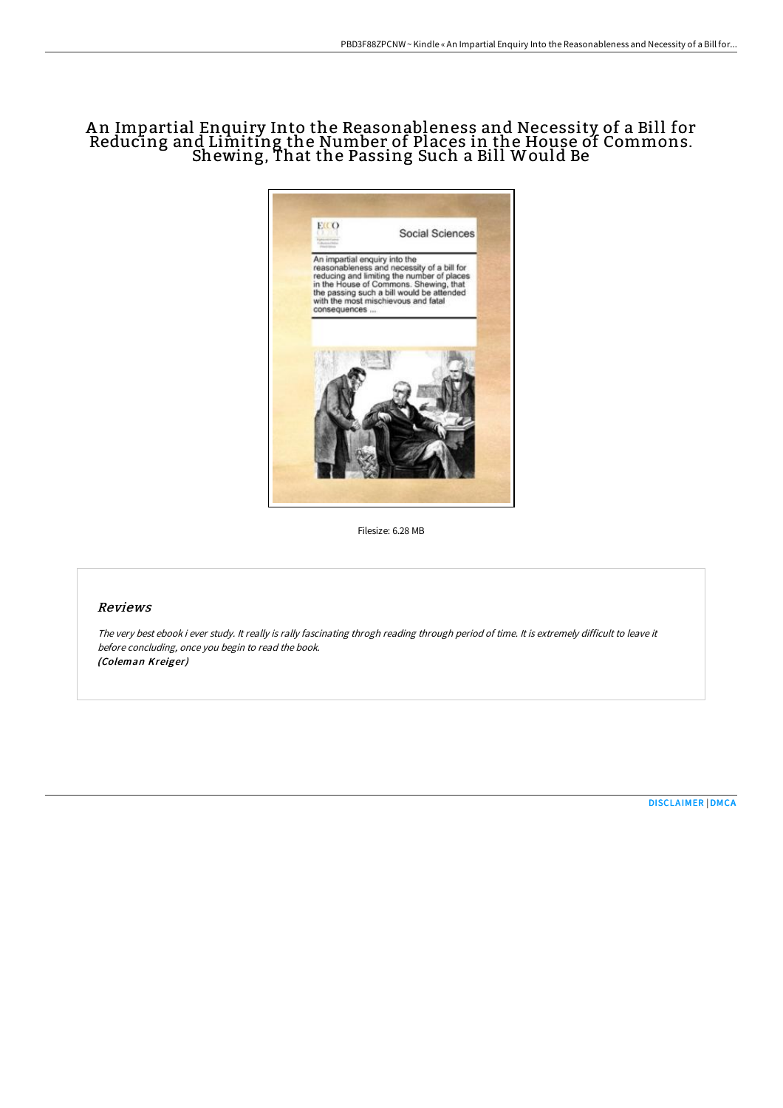# A n Impartial Enquiry Into the Reasonableness and Necessity of a Bill for Reducing and Limiting the Number of Places in the House of Commons. Shewing, That the Passing Such a Bill Would Be



Filesize: 6.28 MB

# Reviews

The very best ebook i ever study. It really is rally fascinating throgh reading through period of time. It is extremely difficult to leave it before concluding, once you begin to read the book. (Coleman Kreiger)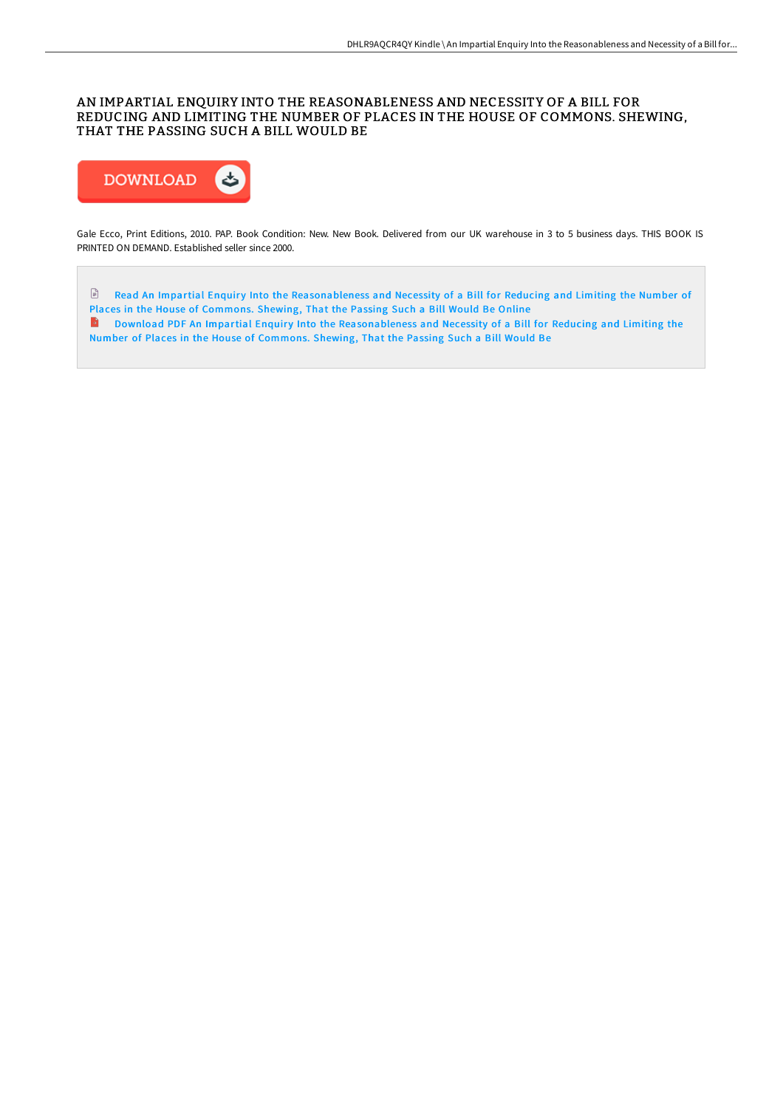## AN IMPARTIAL ENQUIRY INTO THE REASONABLENESS AND NECESSITY OF A BILL FOR REDUCING AND LIMITING THE NUMBER OF PLACES IN THE HOUSE OF COMMONS. SHEWING, THAT THE PASSING SUCH A BILL WOULD BE



Gale Ecco, Print Editions, 2010. PAP. Book Condition: New. New Book. Delivered from our UK warehouse in 3 to 5 business days. THIS BOOK IS PRINTED ON DEMAND. Established seller since 2000.

E Read An Impartial Enquiry Into the [Reasonableness](http://www.bookdirs.com/an-impartial-enquiry-into-the-reasonableness-and.html) and Necessity of a Bill for Reducing and Limiting the Number of Places in the House of Commons. Shewing, That the Passing Such a Bill Would Be Online **D** Download PDF An Impartial Enquiry Into the [Reasonableness](http://www.bookdirs.com/an-impartial-enquiry-into-the-reasonableness-and.html) and Necessity of a Bill for Reducing and Limiting the Number of Places in the House of Commons. Shewing, That the Passing Such a Bill Would Be